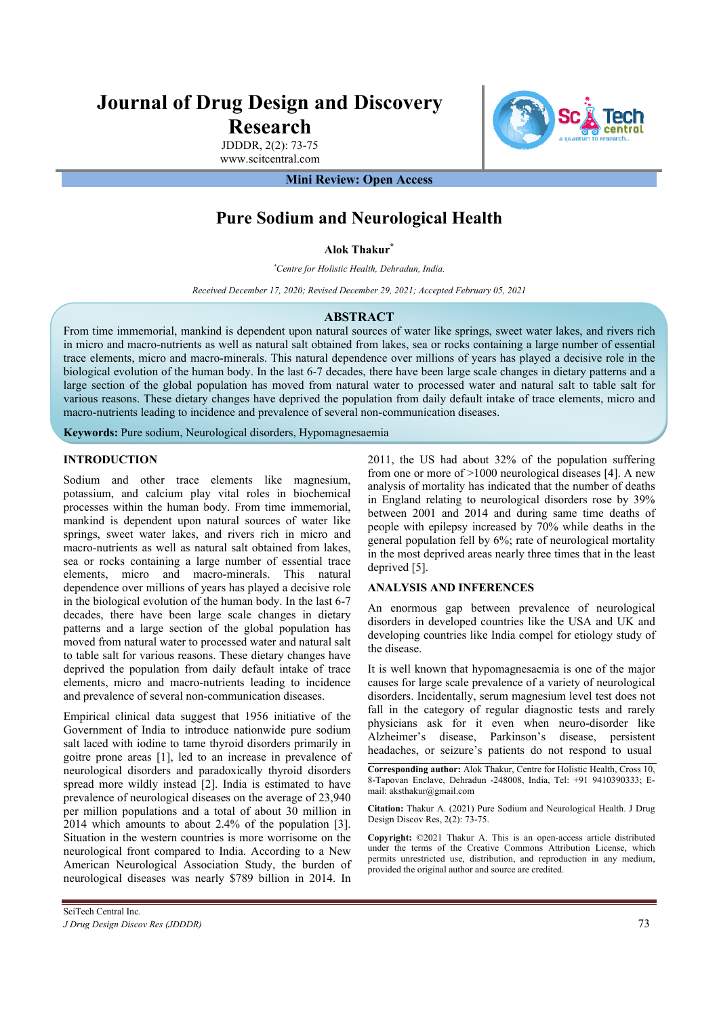# **Journal of Drug Design and Discovery Research**

JDDDR, 2(2): 73-75 www.scitcentral.com

**Mini Review: Open Access** 

## **Pure Sodium and Neurological Health**

**Alok Thakur\***

*\* Centre for Holistic Health, Dehradun, India.* 

*Received December 17, 2020; Revised December 29, 2021; Accepted February 05, 2021* 

## **ABSTRACT**

From time immemorial, mankind is dependent upon natural sources of water like springs, sweet water lakes, and rivers rich in micro and macro-nutrients as well as natural salt obtained from lakes, sea or rocks containing a large number of essential trace elements, micro and macro-minerals. This natural dependence over millions of years has played a decisive role in the biological evolution of the human body. In the last 6-7 decades, there have been large scale changes in dietary patterns and a large section of the global population has moved from natural water to processed water and natural salt to table salt for various reasons. These dietary changes have deprived the population from daily default intake of trace elements, micro and macro-nutrients leading to incidence and prevalence of several non-communication diseases.

**Keywords:** Pure sodium, Neurological disorders, Hypomagnesaemia

## **INTRODUCTION**

Sodium and other trace elements like magnesium, potassium, and calcium play vital roles in biochemical processes within the human body. From time immemorial, mankind is dependent upon natural sources of water like springs, sweet water lakes, and rivers rich in micro and macro-nutrients as well as natural salt obtained from lakes, sea or rocks containing a large number of essential trace elements, micro and macro-minerals. This natural dependence over millions of years has played a decisive role in the biological evolution of the human body. In the last 6-7 decades, there have been large scale changes in dietary patterns and a large section of the global population has moved from natural water to processed water and natural salt to table salt for various reasons. These dietary changes have deprived the population from daily default intake of trace elements, micro and macro-nutrients leading to incidence and prevalence of several non-communication diseases.

Empirical clinical data suggest that 1956 initiative of the Government of India to introduce nationwide pure sodium salt laced with iodine to tame thyroid disorders primarily in goitre prone areas [1], led to an increase in prevalence of neurological disorders and paradoxically thyroid disorders spread more wildly instead [2]. India is estimated to have prevalence of neurological diseases on the average of 23,940 per million populations and a total of about 30 million in 2014 which amounts to about 2.4% of the population [3]. Situation in the western countries is more worrisome on the neurological front compared to India. According to a New American Neurological Association Study, the burden of neurological diseases was nearly \$789 billion in 2014. In

2011, the US had about 32% of the population suffering from one or more of >1000 neurological diseases [4]. A new analysis of mortality has indicated that the number of deaths in England relating to neurological disorders rose by 39% between 2001 and 2014 and during same time deaths of people with epilepsy increased by 70% while deaths in the general population fell by 6%; rate of neurological mortality in the most deprived areas nearly three times that in the least deprived [5].

#### **ANALYSIS AND INFERENCES**

An enormous gap between prevalence of neurological disorders in developed countries like the USA and UK and developing countries like India compel for etiology study of the disease.

It is well known that hypomagnesaemia is one of the major causes for large scale prevalence of a variety of neurological disorders. Incidentally, serum magnesium level test does not fall in the category of regular diagnostic tests and rarely physicians ask for it even when neuro-disorder like Alzheimer's disease, Parkinson's disease, persistent headaches, or seizure's patients do not respond to usual

**Corresponding author:** Alok Thakur, Centre for Holistic Health, Cross 10, 8-Tapovan Enclave, Dehradun -248008, India, Tel: +91 9410390333; Email: aksthakur@gmail.com

**Citation:** Thakur A. (2021) Pure Sodium and Neurological Health. J Drug Design Discov Res, 2(2): 73-75.

**Copyright:** ©2021 Thakur A. This is an open-access article distributed under the terms of the Creative Commons Attribution License, which permits unrestricted use, distribution, and reproduction in any medium, provided the original author and source are credited.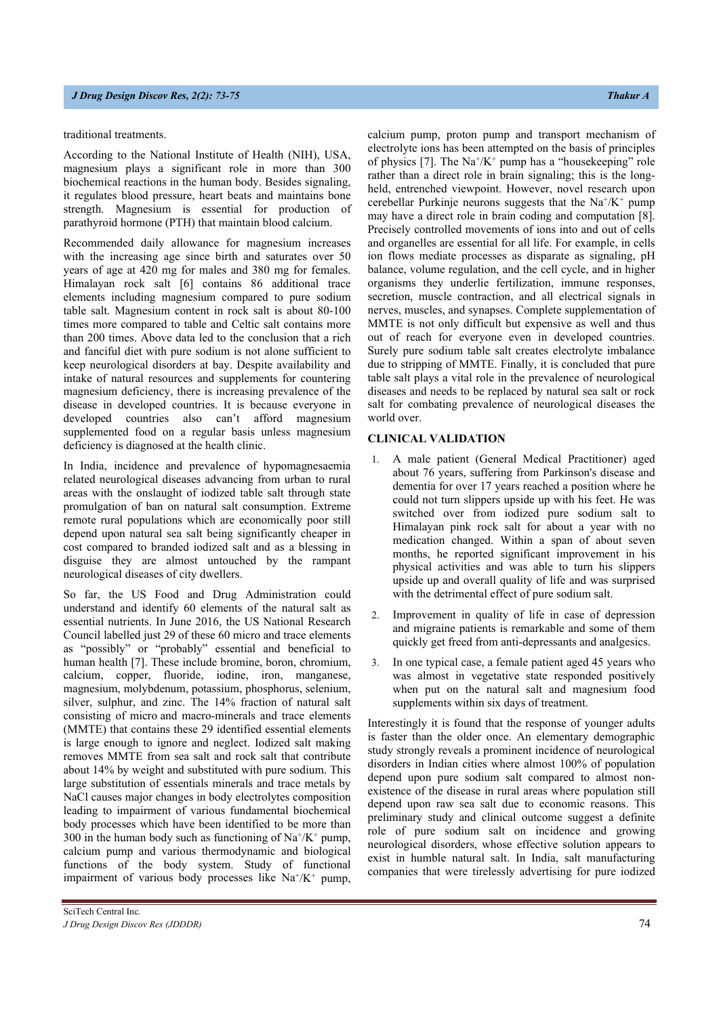traditional treatments.

According to the National Institute of Health (NIH), USA, magnesium plays a significant role in more than 300 biochemical reactions in the human body. Besides signaling, it regulates blood pressure, heart beats and maintains bone strength. Magnesium is essential for production of parathyroid hormone (PTH) that maintain blood calcium.

Recommended daily allowance for magnesium increases with the increasing age since birth and saturates over 50 years of age at 420 mg for males and 380 mg for females. Himalayan rock salt [6] contains 86 additional trace elements including magnesium compared to pure sodium table salt. Magnesium content in rock salt is about 80-100 times more compared to table and Celtic salt contains more than 200 times. Above data led to the conclusion that a rich and fanciful diet with pure sodium is not alone sufficient to keep neurological disorders at bay. Despite availability and intake of natural resources and supplements for countering magnesium deficiency, there is increasing prevalence of the disease in developed countries. It is because everyone in developed countries also can't afford magnesium supplemented food on a regular basis unless magnesium deficiency is diagnosed at the health clinic.

In India, incidence and prevalence of hypomagnesaemia related neurological diseases advancing from urban to rural areas with the onslaught of iodized table salt through state promulgation of ban on natural salt consumption. Extreme remote rural populations which are economically poor still depend upon natural sea salt being significantly cheaper in cost compared to branded iodized salt and as a blessing in disguise they are almost untouched by the rampant neurological diseases of city dwellers.

So far, the US Food and Drug Administration could understand and identify 60 elements of the natural salt as essential nutrients. In June 2016, the US National Research Council labelled just 29 of these 60 micro and trace elements as "possibly" or "probably" essential and beneficial to human health [7]. These include bromine, boron, chromium, calcium, copper, fluoride, iodine, iron, manganese, magnesium, molybdenum, potassium, phosphorus, selenium, silver, sulphur, and zinc. The 14% fraction of natural salt consisting of micro and macro-minerals and trace elements (MMTE) that contains these 29 identified essential elements is large enough to ignore and neglect. Iodized salt making removes MMTE from sea salt and rock salt that contribute about 14% by weight and substituted with pure sodium. This large substitution of essentials minerals and trace metals by NaCl causes major changes in body electrolytes composition leading to impairment of various fundamental biochemical body processes which have been identified to be more than 300 in the human body such as functioning of  $Na^+/K^+$  pump, calcium pump and various thermodynamic and biological functions of the body system. Study of functional impairment of various body processes like  $Na^+/K^+$  pump,

calcium pump, proton pump and transport mechanism of electrolyte ions has been attempted on the basis of principles of physics [7]. The  $\text{Na}^{\text{+}}/\text{K}^{\text{+}}$  pump has a "housekeeping" role rather than a direct role in brain signaling; this is the longheld, entrenched viewpoint. However, novel research upon cerebellar Purkinje neurons suggests that the  $Na^{+}/K^{+}$  pump may have a direct role in brain coding and computation [8]. Precisely controlled movements of ions into and out of cells and organelles are essential for all life. For example, in cells ion flows mediate processes as disparate as signaling, pH balance, volume regulation, and the cell cycle, and in higher organisms they underlie fertilization, immune responses, secretion, muscle contraction, and all electrical signals in nerves, muscles, and synapses. Complete supplementation of MMTE is not only difficult but expensive as well and thus out of reach for everyone even in developed countries. Surely pure sodium table salt creates electrolyte imbalance due to stripping of MMTE. Finally, it is concluded that pure table salt plays a vital role in the prevalence of neurological diseases and needs to be replaced by natural sea salt or rock salt for combating prevalence of neurological diseases the world over.

#### **CLINICAL VALIDATION**

- 1. A male patient (General Medical Practitioner) aged about 76 years, suffering from Parkinson's disease and dementia for over 17 years reached a position where he could not turn slippers upside up with his feet. He was switched over from iodized pure sodium salt to Himalayan pink rock salt for about a year with no medication changed. Within a span of about seven months, he reported significant improvement in his physical activities and was able to turn his slippers upside up and overall quality of life and was surprised with the detrimental effect of pure sodium salt.
- 2. Improvement in quality of life in case of depression and migraine patients is remarkable and some of them quickly get freed from anti-depressants and analgesics.
- 3. In one typical case, a female patient aged 45 years who was almost in vegetative state responded positively when put on the natural salt and magnesium food supplements within six days of treatment.

Interestingly it is found that the response of younger adults is faster than the older once. An elementary demographic study strongly reveals a prominent incidence of neurological disorders in Indian cities where almost 100% of population depend upon pure sodium salt compared to almost nonexistence of the disease in rural areas where population still depend upon raw sea salt due to economic reasons. This preliminary study and clinical outcome suggest a definite role of pure sodium salt on incidence and growing neurological disorders, whose effective solution appears to exist in humble natural salt. In India, salt manufacturing companies that were tirelessly advertising for pure iodized